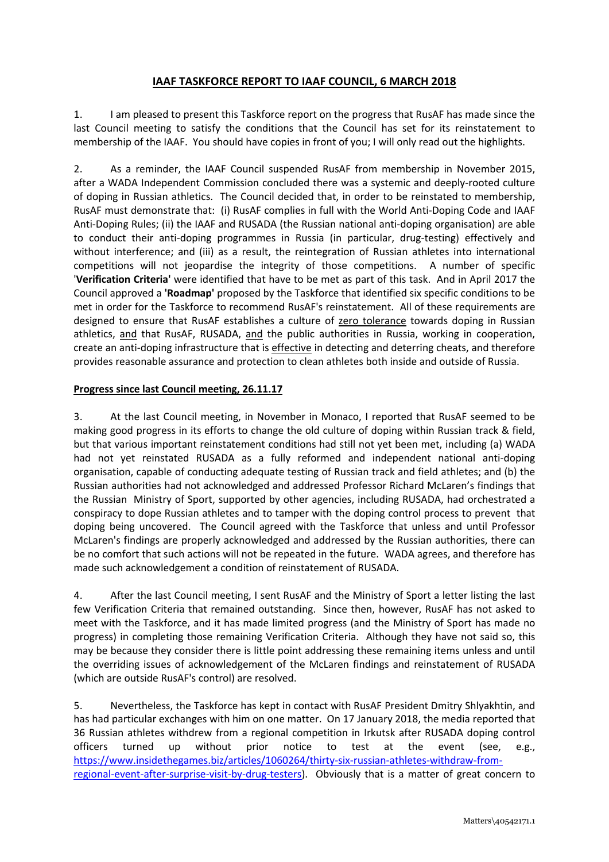## **IAAF TASKFORCE REPORT TO IAAF COUNCIL, 6 MARCH 2018**

1. I am pleased to present this Taskforce report on the progress that RusAF has made since the last Council meeting to satisfy the conditions that the Council has set for its reinstatement to membership of the IAAF. You should have copies in front of you; I will only read out the highlights.

2. As a reminder, the IAAF Council suspended RusAF from membership in November 2015, after a WADA Independent Commission concluded there was a systemic and deeply-rooted culture of doping in Russian athletics. The Council decided that, in order to be reinstated to membership, RusAF must demonstrate that: (i) RusAF complies in full with the World Anti-Doping Code and IAAF Anti-Doping Rules; (ii) the IAAF and RUSADA (the Russian national anti-doping organisation) are able to conduct their anti-doping programmes in Russia (in particular, drug-testing) effectively and without interference; and (iii) as a result, the reintegration of Russian athletes into international competitions will not jeopardise the integrity of those competitions. A number of specific '**Verification Criteria'** were identified that have to be met as part of this task. And in April 2017 the Council approved a **'Roadmap'** proposed by the Taskforce that identified six specific conditions to be met in order for the Taskforce to recommend RusAF's reinstatement. All of these requirements are designed to ensure that RusAF establishes a culture of zero tolerance towards doping in Russian athletics, and that RusAF, RUSADA, and the public authorities in Russia, working in cooperation, create an anti-doping infrastructure that is effective in detecting and deterring cheats, and therefore provides reasonable assurance and protection to clean athletes both inside and outside of Russia.

## **Progress since last Council meeting, 26.11.17**

3. At the last Council meeting, in November in Monaco, I reported that RusAF seemed to be making good progress in its efforts to change the old culture of doping within Russian track & field, but that various important reinstatement conditions had still not yet been met, including (a) WADA had not yet reinstated RUSADA as a fully reformed and independent national anti-doping organisation, capable of conducting adequate testing of Russian track and field athletes; and (b) the Russian authorities had not acknowledged and addressed Professor Richard McLaren's findings that the Russian Ministry of Sport, supported by other agencies, including RUSADA, had orchestrated a conspiracy to dope Russian athletes and to tamper with the doping control process to prevent that doping being uncovered. The Council agreed with the Taskforce that unless and until Professor McLaren's findings are properly acknowledged and addressed by the Russian authorities, there can be no comfort that such actions will not be repeated in the future. WADA agrees, and therefore has made such acknowledgement a condition of reinstatement of RUSADA.

4. After the last Council meeting, I sent RusAF and the Ministry of Sport a letter listing the last few Verification Criteria that remained outstanding. Since then, however, RusAF has not asked to meet with the Taskforce, and it has made limited progress (and the Ministry of Sport has made no progress) in completing those remaining Verification Criteria. Although they have not said so, this may be because they consider there is little point addressing these remaining items unless and until the overriding issues of acknowledgement of the McLaren findings and reinstatement of RUSADA (which are outside RusAF's control) are resolved.

5. Nevertheless, the Taskforce has kept in contact with RusAF President Dmitry Shlyakhtin, and has had particular exchanges with him on one matter. On 17 January 2018, the media reported that 36 Russian athletes withdrew from a regional competition in Irkutsk after RUSADA doping control officers turned up without prior notice to test at the event (see, e.g., [https://www.insidethegames.biz/articles/1060264/thirty-six-russian-athletes-withdraw-from](https://www.insidethegames.biz/articles/1060264/thirty-six-russian-athletes-withdraw-from-regional-event-after-surprise-visit-by-drug-testers)regional-event-after-surprise-visit-by-drug-testers). Obviously that is a matter of great concern to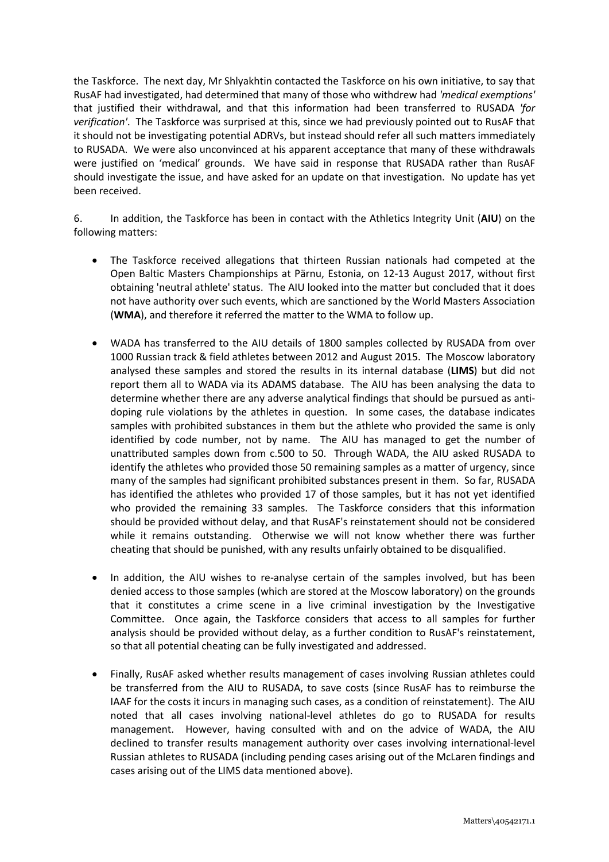the Taskforce. The next day, Mr Shlyakhtin contacted the Taskforce on his own initiative, to say that RusAF had investigated, had determined that many of those who withdrew had *'medical exemptions'* that justified their withdrawal, and that this information had been transferred to RUSADA *'for verification'*. The Taskforce was surprised at this, since we had previously pointed out to RusAF that it should not be investigating potential ADRVs, but instead should refer all such matters immediately to RUSADA. We were also unconvinced at his apparent acceptance that many of these withdrawals were justified on 'medical' grounds. We have said in response that RUSADA rather than RusAF should investigate the issue, and have asked for an update on that investigation. No update has yet been received.

6. In addition, the Taskforce has been in contact with the Athletics Integrity Unit (**AIU**) on the following matters:

- The Taskforce received allegations that thirteen Russian nationals had competed at the Open Baltic Masters Championships at Pärnu, Estonia, on 12-13 August 2017, without first obtaining 'neutral athlete' status. The AIU looked into the matter but concluded that it does not have authority over such events, which are sanctioned by the World Masters Association (**WMA**), and therefore it referred the matter to the WMA to follow up.
- WADA has transferred to the AIU details of 1800 samples collected by RUSADA from over 1000 Russian track & field athletes between 2012 and August 2015. The Moscow laboratory analysed these samples and stored the results in its internal database (**LIMS**) but did not report them all to WADA via its ADAMS database. The AIU has been analysing the data to determine whether there are any adverse analytical findings that should be pursued as antidoping rule violations by the athletes in question. In some cases, the database indicates samples with prohibited substances in them but the athlete who provided the same is only identified by code number, not by name. The AIU has managed to get the number of unattributed samples down from c.500 to 50. Through WADA, the AIU asked RUSADA to identify the athletes who provided those 50 remaining samples as a matter of urgency, since many of the samples had significant prohibited substances present in them. So far, RUSADA has identified the athletes who provided 17 of those samples, but it has not yet identified who provided the remaining 33 samples. The Taskforce considers that this information should be provided without delay, and that RusAF's reinstatement should not be considered while it remains outstanding. Otherwise we will not know whether there was further cheating that should be punished, with any results unfairly obtained to be disqualified.
- In addition, the AIU wishes to re-analyse certain of the samples involved, but has been denied access to those samples (which are stored at the Moscow laboratory) on the grounds that it constitutes a crime scene in a live criminal investigation by the Investigative Committee. Once again, the Taskforce considers that access to all samples for further analysis should be provided without delay, as a further condition to RusAF's reinstatement, so that all potential cheating can be fully investigated and addressed.
- Finally, RusAF asked whether results management of cases involving Russian athletes could be transferred from the AIU to RUSADA, to save costs (since RusAF has to reimburse the IAAF for the costs it incurs in managing such cases, as a condition of reinstatement). The AIU noted that all cases involving national-level athletes do go to RUSADA for results management. However, having consulted with and on the advice of WADA, the AIU declined to transfer results management authority over cases involving international-level Russian athletes to RUSADA (including pending cases arising out of the McLaren findings and cases arising out of the LIMS data mentioned above).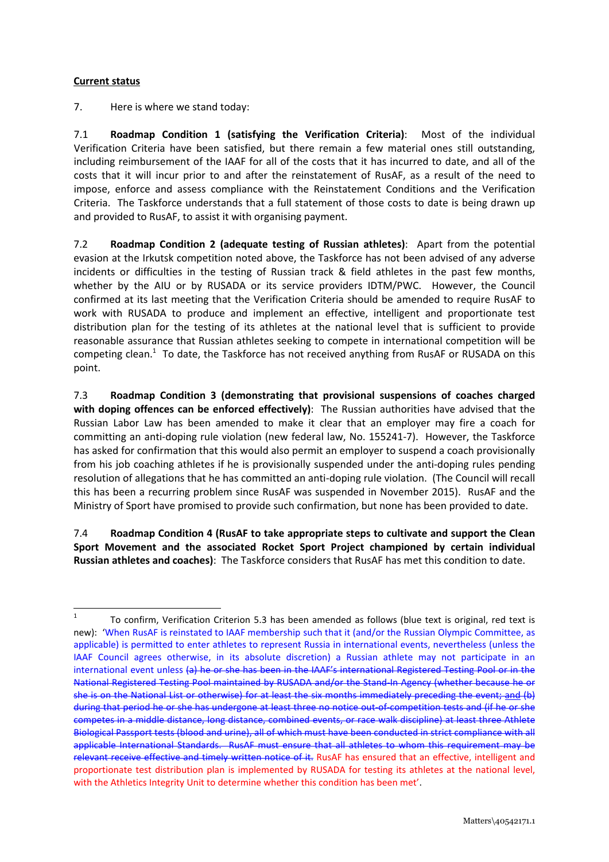## **Current status**

7. Here is where we stand today:

7.1 **Roadmap Condition 1 (satisfying the Verification Criteria)**: Most of the individual Verification Criteria have been satisfied, but there remain a few material ones still outstanding, including reimbursement of the IAAF for all of the costs that it has incurred to date, and all of the costs that it will incur prior to and after the reinstatement of RusAF, as a result of the need to impose, enforce and assess compliance with the Reinstatement Conditions and the Verification Criteria. The Taskforce understands that a full statement of those costs to date is being drawn up and provided to RusAF, to assist it with organising payment.

7.2 **Roadmap Condition 2 (adequate testing of Russian athletes)**: Apart from the potential evasion at the Irkutsk competition noted above, the Taskforce has not been advised of any adverse incidents or difficulties in the testing of Russian track & field athletes in the past few months, whether by the AIU or by RUSADA or its service providers IDTM/PWC. However, the Council confirmed at its last meeting that the Verification Criteria should be amended to require RusAF to work with RUSADA to produce and implement an effective, intelligent and proportionate test distribution plan for the testing of its athletes at the national level that is sufficient to provide reasonable assurance that Russian athletes seeking to compete in international competition will be competing clean.<sup>1</sup> To date, the Taskforce has not received anything from RusAF or RUSADA on this point.

7.3 **Roadmap Condition 3 (demonstrating that provisional suspensions of coaches charged with doping offences can be enforced effectively)**: The Russian authorities have advised that the Russian Labor Law has been amended to make it clear that an employer may fire a coach for committing an anti-doping rule violation (new federal law, No. 155241-7). However, the Taskforce has asked for confirmation that this would also permit an employer to suspend a coach provisionally from his job coaching athletes if he is provisionally suspended under the anti-doping rules pending resolution of allegations that he has committed an anti-doping rule violation. (The Council will recall this has been a recurring problem since RusAF was suspended in November 2015). RusAF and the Ministry of Sport have promised to provide such confirmation, but none has been provided to date.

7.4 **Roadmap Condition 4 (RusAF to take appropriate steps to cultivate and support the Clean Sport Movement and the associated Rocket Sport Project championed by certain individual Russian athletes and coaches)**: The Taskforce considers that RusAF has met this condition to date.

 $\frac{1}{1}$ To confirm, Verification Criterion 5.3 has been amended as follows (blue text is original, red text is new): 'When RusAF is reinstated to IAAF membership such that it (and/or the Russian Olympic Committee, as applicable) is permitted to enter athletes to represent Russia in international events, nevertheless (unless the IAAF Council agrees otherwise, in its absolute discretion) a Russian athlete may not participate in an international event unless (a) he or she has been in the IAAF's international Registered Testing Pool or in the National Registered Testing Pool maintained by RUSADA and/or the Stand-In Agency (whether because he or she is on the National List or otherwise) for at least the six months immediately preceding the event; and (b) during that period he or she has undergone at least three no notice out-of-competition tests and (if he or she competes in a middle distance, long distance, combined events, or race walk discipline) at least three Athlete Biological Passport tests (blood and urine), all of which must have been conducted in strict compliance with all applicable International Standards. RusAF must ensure that all athletes to whom this requirement may be relevant receive effective and timely written notice of it. RusAF has ensured that an effective, intelligent and proportionate test distribution plan is implemented by RUSADA for testing its athletes at the national level, with the Athletics Integrity Unit to determine whether this condition has been met'.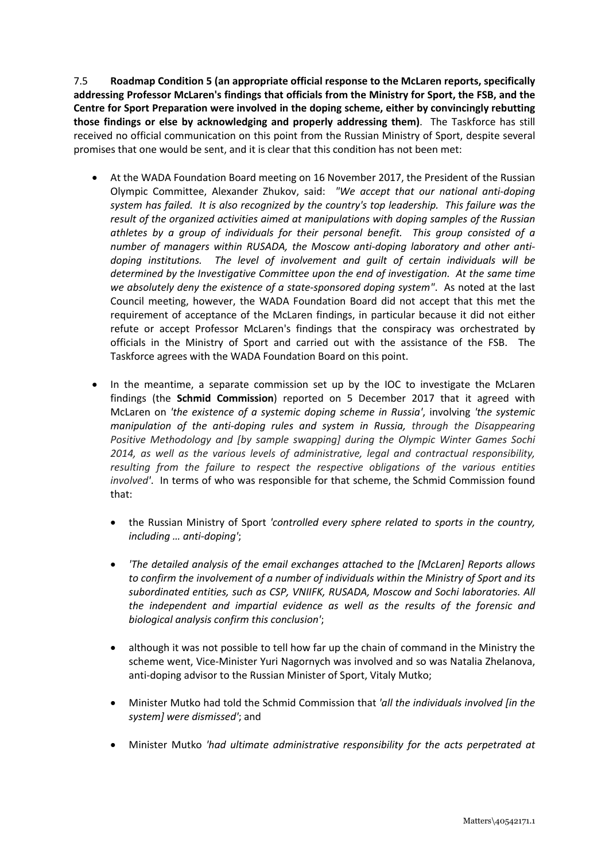7.5 **Roadmap Condition 5 (an appropriate official response to the McLaren reports, specifically addressing Professor McLaren's findings that officials from the Ministry for Sport, the FSB, and the Centre for Sport Preparation were involved in the doping scheme, either by convincingly rebutting those findings or else by acknowledging and properly addressing them)**. The Taskforce has still received no official communication on this point from the Russian Ministry of Sport, despite several promises that one would be sent, and it is clear that this condition has not been met:

- At the WADA Foundation Board meeting on 16 November 2017, the President of the Russian Olympic Committee, Alexander Zhukov, said: *"We accept that our national anti-doping system has failed. It is also recognized by the country's top leadership. This failure was the result of the organized activities aimed at manipulations with doping samples of the Russian athletes by a group of individuals for their personal benefit. This group consisted of a number of managers within RUSADA, the Moscow anti-doping laboratory and other antidoping institutions. The level of involvement and guilt of certain individuals will be determined by the Investigative Committee upon the end of investigation. At the same time we absolutely deny the existence of a state-sponsored doping system"*. As noted at the last Council meeting, however, the WADA Foundation Board did not accept that this met the requirement of acceptance of the McLaren findings, in particular because it did not either refute or accept Professor McLaren's findings that the conspiracy was orchestrated by officials in the Ministry of Sport and carried out with the assistance of the FSB. The Taskforce agrees with the WADA Foundation Board on this point.
- In the meantime, a separate commission set up by the IOC to investigate the McLaren findings (the **Schmid Commission**) reported on 5 December 2017 that it agreed with McLaren on *'the existence of a systemic doping scheme in Russia'*, involving *'the systemic manipulation of the anti-doping rules and system in Russia, through the Disappearing Positive Methodology and [by sample swapping] during the Olympic Winter Games Sochi 2014, as well as the various levels of administrative, legal and contractual responsibility, resulting from the failure to respect the respective obligations of the various entities involved'*. In terms of who was responsible for that scheme, the Schmid Commission found that:
	- the Russian Ministry of Sport *'controlled every sphere related to sports in the country, including … anti-doping'*;
	- *'The detailed analysis of the email exchanges attached to the [McLaren] Reports allows to confirm the involvement of a number of individuals within the Ministry of Sport and its subordinated entities, such as CSP, VNIIFK, RUSADA, Moscow and Sochi laboratories. All the independent and impartial evidence as well as the results of the forensic and biological analysis confirm this conclusion'*;
	- although it was not possible to tell how far up the chain of command in the Ministry the scheme went, Vice-Minister Yuri Nagornych was involved and so was Natalia Zhelanova, anti-doping advisor to the Russian Minister of Sport, Vitaly Mutko;
	- Minister Mutko had told the Schmid Commission that *'all the individuals involved [in the system] were dismissed'*; and
	- Minister Mutko *'had ultimate administrative responsibility for the acts perpetrated at*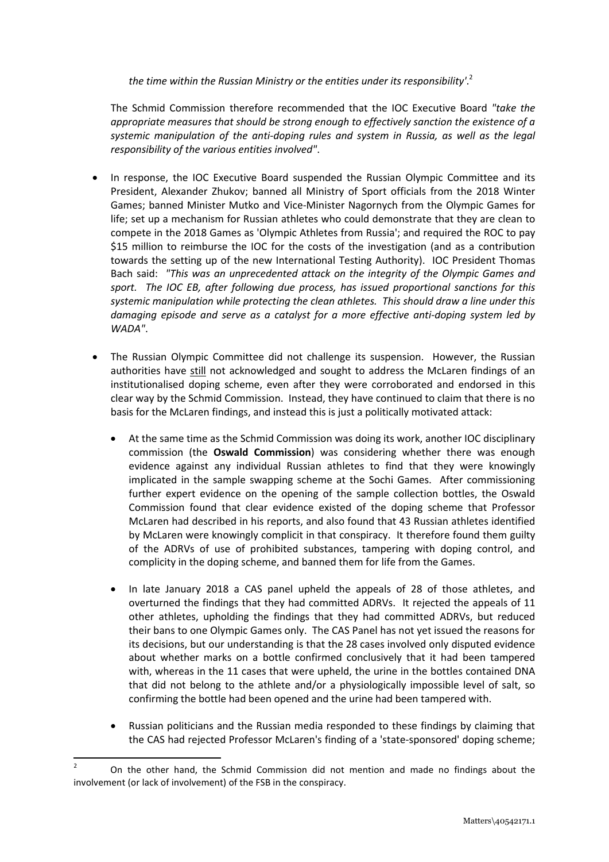*the time within the Russian Ministry or the entities under its responsibility'*. 2

The Schmid Commission therefore recommended that the IOC Executive Board *"take the appropriate measures that should be strong enough to effectively sanction the existence of a systemic manipulation of the anti-doping rules and system in Russia, as well as the legal responsibility of the various entities involved"*.

- In response, the IOC Executive Board suspended the Russian Olympic Committee and its President, Alexander Zhukov; banned all Ministry of Sport officials from the 2018 Winter Games; banned Minister Mutko and Vice-Minister Nagornych from the Olympic Games for life; set up a mechanism for Russian athletes who could demonstrate that they are clean to compete in the 2018 Games as 'Olympic Athletes from Russia'; and required the ROC to pay \$15 million to reimburse the IOC for the costs of the investigation (and as a contribution towards the setting up of the new International Testing Authority). IOC President Thomas Bach said: *"This was an unprecedented attack on the integrity of the Olympic Games and sport. The IOC EB, after following due process, has issued proportional sanctions for this systemic manipulation while protecting the clean athletes. This should draw a line under this damaging episode and serve as a catalyst for a more effective anti-doping system led by WADA"*.
- The Russian Olympic Committee did not challenge its suspension. However, the Russian authorities have still not acknowledged and sought to address the McLaren findings of an institutionalised doping scheme, even after they were corroborated and endorsed in this clear way by the Schmid Commission. Instead, they have continued to claim that there is no basis for the McLaren findings, and instead this is just a politically motivated attack:
	- At the same time as the Schmid Commission was doing its work, another IOC disciplinary commission (the **Oswald Commission**) was considering whether there was enough evidence against any individual Russian athletes to find that they were knowingly implicated in the sample swapping scheme at the Sochi Games. After commissioning further expert evidence on the opening of the sample collection bottles, the Oswald Commission found that clear evidence existed of the doping scheme that Professor McLaren had described in his reports, and also found that 43 Russian athletes identified by McLaren were knowingly complicit in that conspiracy. It therefore found them guilty of the ADRVs of use of prohibited substances, tampering with doping control, and complicity in the doping scheme, and banned them for life from the Games.
	- In late January 2018 a CAS panel upheld the appeals of 28 of those athletes, and overturned the findings that they had committed ADRVs. It rejected the appeals of 11 other athletes, upholding the findings that they had committed ADRVs, but reduced their bans to one Olympic Games only. The CAS Panel has not yet issued the reasons for its decisions, but our understanding is that the 28 cases involved only disputed evidence about whether marks on a bottle confirmed conclusively that it had been tampered with, whereas in the 11 cases that were upheld, the urine in the bottles contained DNA that did not belong to the athlete and/or a physiologically impossible level of salt, so confirming the bottle had been opened and the urine had been tampered with.
	- Russian politicians and the Russian media responded to these findings by claiming that the CAS had rejected Professor McLaren's finding of a 'state-sponsored' doping scheme;

 $\frac{1}{2}$ On the other hand, the Schmid Commission did not mention and made no findings about the involvement (or lack of involvement) of the FSB in the conspiracy.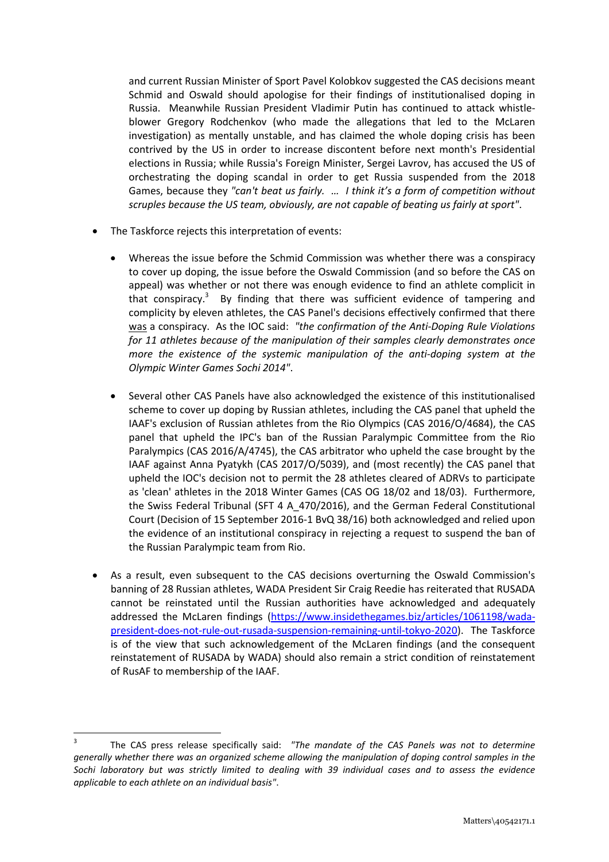and current Russian Minister of Sport Pavel Kolobkov suggested the CAS decisions meant Schmid and Oswald should apologise for their findings of institutionalised doping in Russia. Meanwhile Russian President Vladimir Putin has continued to attack whistleblower Gregory Rodchenkov (who made the allegations that led to the McLaren investigation) as mentally unstable, and has claimed the whole doping crisis has been contrived by the US in order to increase discontent before next month's Presidential elections in Russia; while Russia's Foreign Minister, Sergei Lavrov, has accused the US of orchestrating the doping scandal in order to get Russia suspended from the 2018 Games, because they *"can't beat us fairly. … I think it's a form of competition without scruples because the US team, obviously, are not capable of beating us fairly at sport"*.

- The Taskforce rejects this interpretation of events:
	- Whereas the issue before the Schmid Commission was whether there was a conspiracy to cover up doping, the issue before the Oswald Commission (and so before the CAS on appeal) was whether or not there was enough evidence to find an athlete complicit in that conspiracy.<sup>3</sup> By finding that there was sufficient evidence of tampering and complicity by eleven athletes, the CAS Panel's decisions effectively confirmed that there was a conspiracy. As the IOC said: *"the confirmation of the Anti-Doping Rule Violations for 11 athletes because of the manipulation of their samples clearly demonstrates once more the existence of the systemic manipulation of the anti-doping system at the Olympic Winter Games Sochi 2014"*.
	- Several other CAS Panels have also acknowledged the existence of this institutionalised scheme to cover up doping by Russian athletes, including the CAS panel that upheld the IAAF's exclusion of Russian athletes from the Rio Olympics (CAS 2016/O/4684), the CAS panel that upheld the IPC's ban of the Russian Paralympic Committee from the Rio Paralympics (CAS 2016/A/4745), the CAS arbitrator who upheld the case brought by the IAAF against Anna Pyatykh (CAS 2017/O/5039), and (most recently) the CAS panel that upheld the IOC's decision not to permit the 28 athletes cleared of ADRVs to participate as 'clean' athletes in the 2018 Winter Games (CAS OG 18/02 and 18/03). Furthermore, the Swiss Federal Tribunal (SFT 4 A\_470/2016), and the German Federal Constitutional Court (Decision of 15 September 2016-1 BvQ 38/16) both acknowledged and relied upon the evidence of an institutional conspiracy in rejecting a request to suspend the ban of the Russian Paralympic team from Rio.
- As a result, even subsequent to the CAS decisions overturning the Oswald Commission's banning of 28 Russian athletes, WADA President Sir Craig Reedie has reiterated that RUSADA cannot be reinstated until the Russian authorities have acknowledged and adequately addressed the McLaren findings (https://www.insidethegames.biz/articles/1061198/wada[president-does-not-rule-out-rusada-suspension-remaining-until-tokyo-2020\). The Taskforce](https://www.insidethegames.biz/articles/1061198/wada-president-does-not-rule-out-rusada-suspension-remaining-until-tokyo-2020) is of the view that such acknowledgement of the McLaren findings (and the consequent reinstatement of RUSADA by WADA) should also remain a strict condition of reinstatement of RusAF to membership of the IAAF.

**.** 

<sup>3</sup> The CAS press release specifically said: *"The mandate of the CAS Panels was not to determine generally whether there was an organized scheme allowing the manipulation of doping control samples in the Sochi laboratory but was strictly limited to dealing with 39 individual cases and to assess the evidence applicable to each athlete on an individual basis"*.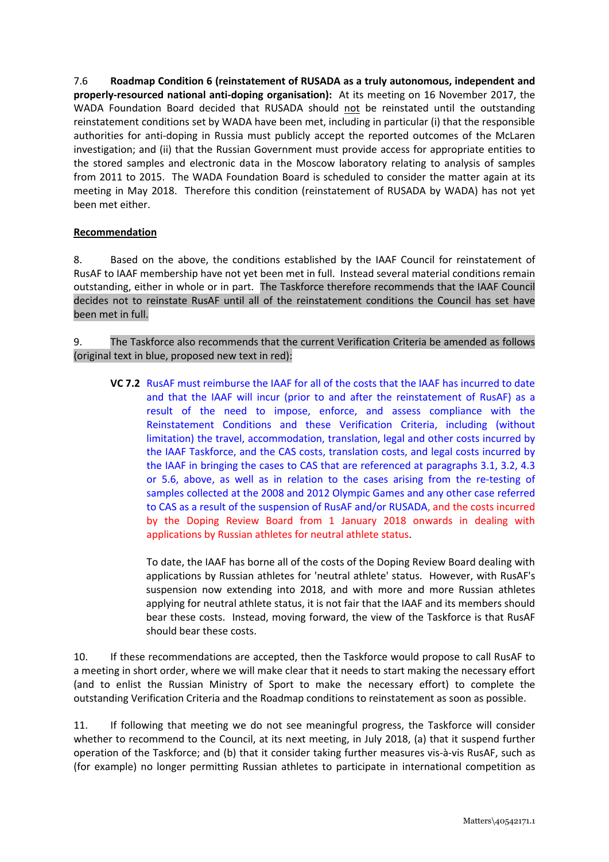7.6 **Roadmap Condition 6 (reinstatement of RUSADA as a truly autonomous, independent and properly-resourced national anti-doping organisation):**At its meeting on 16 November 2017, the WADA Foundation Board decided that RUSADA should not be reinstated until the outstanding reinstatement conditions set by WADA have been met, including in particular (i) that the responsible authorities for anti-doping in Russia must publicly accept the reported outcomes of the McLaren investigation; and (ii) that the Russian Government must provide access for appropriate entities to the stored samples and electronic data in the Moscow laboratory relating to analysis of samples from 2011 to 2015. The WADA Foundation Board is scheduled to consider the matter again at its meeting in May 2018. Therefore this condition (reinstatement of RUSADA by WADA) has not yet been met either.

## **Recommendation**

8. Based on the above, the conditions established by the IAAF Council for reinstatement of RusAF to IAAF membership have not yet been met in full. Instead several material conditions remain outstanding, either in whole or in part. The Taskforce therefore recommends that the IAAF Council decides not to reinstate RusAF until all of the reinstatement conditions the Council has set have been met in full.

9. The Taskforce also recommends that the current Verification Criteria be amended as follows (original text in blue, proposed new text in red):

**VC 7.2** RusAF must reimburse the IAAF for all of the costs that the IAAF has incurred to date and that the IAAF will incur (prior to and after the reinstatement of RusAF) as a result of the need to impose, enforce, and assess compliance with the Reinstatement Conditions and these Verification Criteria, including (without limitation) the travel, accommodation, translation, legal and other costs incurred by the IAAF Taskforce, and the CAS costs, translation costs, and legal costs incurred by the IAAF in bringing the cases to CAS that are referenced at paragraphs 3.1, 3.2, 4.3 or 5.6, above, as well as in relation to the cases arising from the re-testing of samples collected at the 2008 and 2012 Olympic Games and any other case referred to CAS as a result of the suspension of RusAF and/or RUSADA, and the costs incurred by the Doping Review Board from 1 January 2018 onwards in dealing with applications by Russian athletes for neutral athlete status.

To date, the IAAF has borne all of the costs of the Doping Review Board dealing with applications by Russian athletes for 'neutral athlete' status. However, with RusAF's suspension now extending into 2018, and with more and more Russian athletes applying for neutral athlete status, it is not fair that the IAAF and its members should bear these costs. Instead, moving forward, the view of the Taskforce is that RusAF should bear these costs.

10. If these recommendations are accepted, then the Taskforce would propose to call RusAF to a meeting in short order, where we will make clear that it needs to start making the necessary effort (and to enlist the Russian Ministry of Sport to make the necessary effort) to complete the outstanding Verification Criteria and the Roadmap conditions to reinstatement as soon as possible.

11. If following that meeting we do not see meaningful progress, the Taskforce will consider whether to recommend to the Council, at its next meeting, in July 2018, (a) that it suspend further operation of the Taskforce; and (b) that it consider taking further measures vis-à-vis RusAF, such as (for example) no longer permitting Russian athletes to participate in international competition as